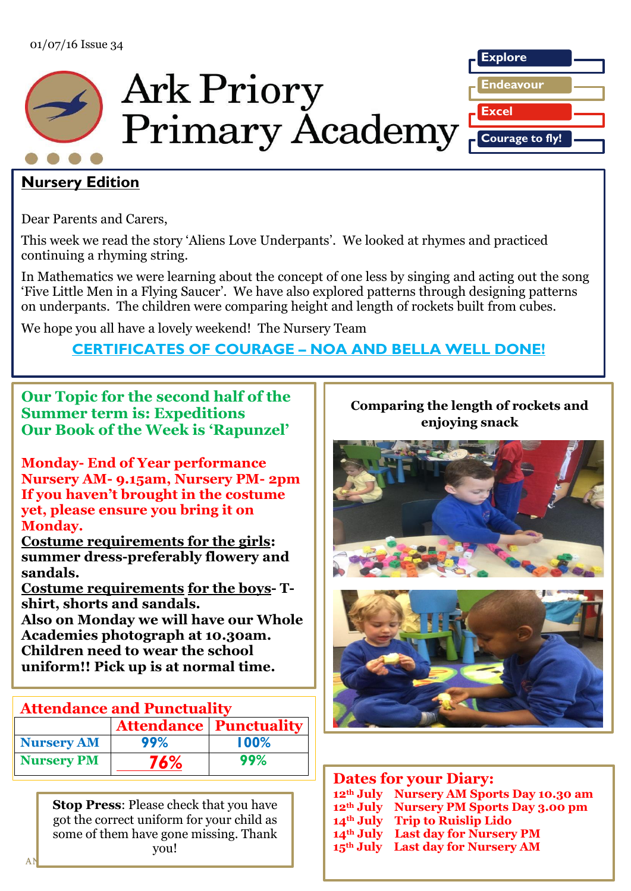

# **Nursery Edition**

Dear Parents and Carers,

This week we read the story 'Aliens Love Underpants'. We looked at rhymes and practiced continuing a rhyming string.

In Mathematics we were learning about the concept of one less by singing and acting out the song 'Five Little Men in a Flying Saucer'. We have also explored patterns through designing patterns on underpants. The children were comparing height and length of rockets built from cubes.

We hope you all have a lovely weekend! The Nursery Team

# **CERTIFICATES OF COURAGE – NOA AND BELLA WELL DONE!**

**Our Topic for the second half of the Summer term is: Expeditions Our Book of the Week is 'Rapunzel'**

**Monday- End of Year performance Nursery AM- 9.15am, Nursery PM- 2pm If you haven't brought in the costume yet, please ensure you bring it on Monday.**

**Costume requirements for the girls:** summer dress-preferably flowery and **sandals.**

**Costume requirements for the boys- Tshirt, shorts and sandals.**

**Also on Monday we will have our Whole Academies photograph at 10.30am. Children need to wear the school uniform!! Pick up is at normal time.**

## **Nursery email Attendance and Punctuality**

|                   |     | <b>Attendance   Punctuality  </b> |
|-------------------|-----|-----------------------------------|
| <b>Nursery AM</b> | 99% | 100%                              |
| <b>Nursery PM</b> | 76% | 99%                               |

**Table 3** got the correct uniform for your child as  $T_{\text{V}^{\text{O}}}$ **b**  $\frac{1}{2}$ **den November 2 nd November 2 nd November 2 November 2 November 2 November 2 November 2 November 2 November 2 November 2 November 2 November 2 November 2 November 2 November 2 Stop Press**: Please check that you have some of them have gone missing. Thank you!  $\overline{a}$ 

#### RRleLekkashdf **Comparing the length of rockets and enjoying snack**





| <b>Dates for your Diary:</b> |                                                      |  |
|------------------------------|------------------------------------------------------|--|
|                              | 12 <sup>th</sup> July Nursery AM Sports Day 10.30 am |  |
|                              | 12 <sup>th</sup> July Nursery PM Sports Day 3.00 pm  |  |
|                              | 14th July Trip to Ruislip Lido                       |  |
|                              | 14th July Last day for Nursery PM                    |  |
|                              | 15 <sup>th</sup> July Last day for Nursery AM        |  |

**2015.**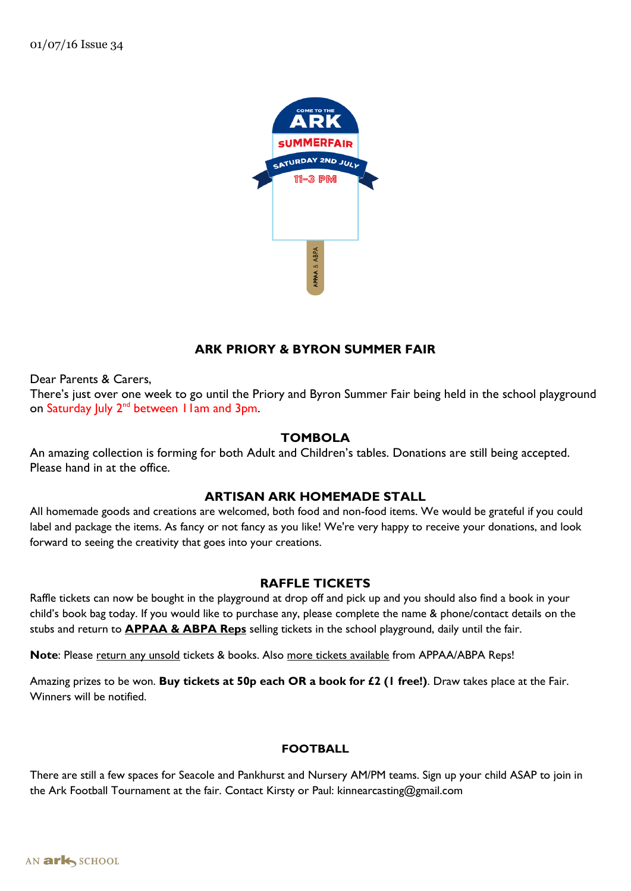

## **ARK PRIORY & BYRON SUMMER FAIR**

Dear Parents & Carers,

There's just over one week to go until the Priory and Byron Summer Fair being held in the school playground on Saturday July  $2^{nd}$  between 11am and 3pm.

## **TOMBOLA**

An amazing collection is forming for both Adult and Children's tables. Donations are still being accepted. Please hand in at the office.

## **ARTISAN ARK HOMEMADE STALL**

All homemade goods and creations are welcomed, both food and non-food items. We would be grateful if you could label and package the items. As fancy or not fancy as you like! We're very happy to receive your donations, and look forward to seeing the creativity that goes into your creations.

### **RAFFLE TICKETS**

Raffle tickets can now be bought in the playground at drop off and pick up and you should also find a book in your child's book bag today. If you would like to purchase any, please complete the name & phone/contact details on the stubs and return to **APPAA & ABPA Reps** selling tickets in the school playground, daily until the fair.

Note: Please return any unsold tickets & books. Also more tickets available from APPAA/ABPA Reps!

Amazing prizes to be won. **Buy tickets at 50p each OR a book for £2 (1 free!)**. Draw takes place at the Fair. Winners will be notified.

### **FOOTBALL**

There are still a few spaces for Seacole and Pankhurst and Nursery AM/PM teams. Sign up your child ASAP to join in the Ark Football Tournament at the fair. Contact Kirsty or Paul: kinnearcasting@gmail.com